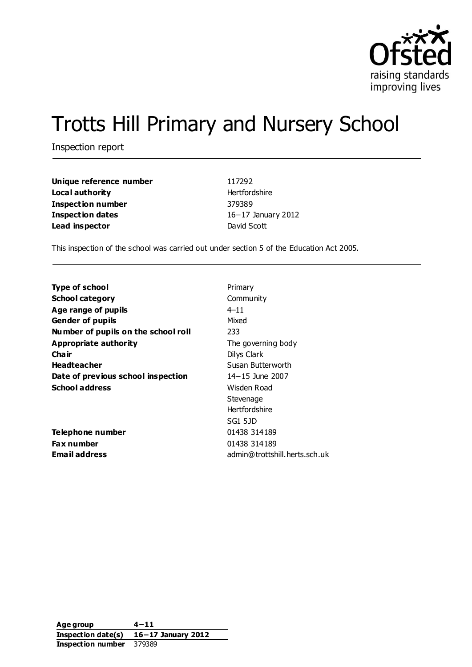

# Trotts Hill Primary and Nursery School

Inspection report

| Unique reference number | 117292                 |
|-------------------------|------------------------|
| Local authority         | Hertfordshire          |
| Inspection number       | 379389                 |
| Inspection dates        | $16 - 17$ January 2012 |
| Lead inspector          | David Scott            |

This inspection of the school was carried out under section 5 of the Education Act 2005.

| Primary                       |
|-------------------------------|
|                               |
| Community                     |
| $4 - 11$                      |
| Mixed                         |
| 233                           |
| The governing body            |
| Dilys Clark                   |
| Susan Butterworth             |
| $14 - 15$ June 2007           |
| Wisden Road                   |
| Stevenage                     |
| <b>Hertfordshire</b>          |
| SG1 5JD                       |
| 01438 314189                  |
| 01438 314189                  |
| admin@trottshill.herts.sch.uk |
|                               |

**Age group 4−11 Inspection date(s) 16−17 January 2012 Inspection number** 379389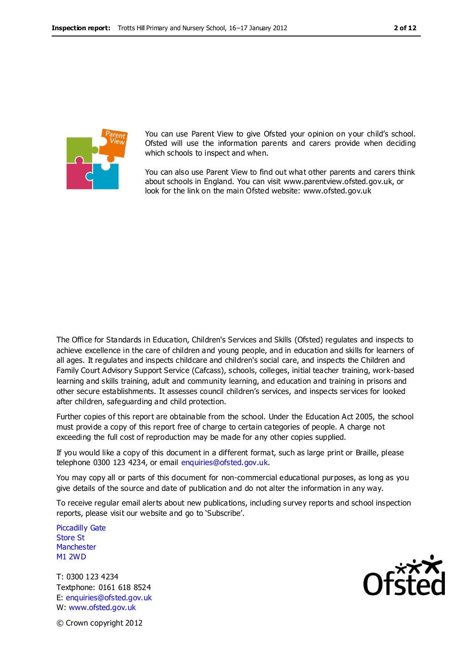

You can use Parent View to give Ofsted your opinion on your child's school. Ofsted will use the information parents and carers provide when deciding which schools to inspect and when.

You can also use Parent View to find out what other parents and carers think about schools in England. You can visit www.parentview.ofsted.gov.uk, or look for the link on the main Ofsted website: www.ofsted.gov.uk

The Office for Standards in Education, Children's Services and Skills (Ofsted) regulates and inspects to achieve excellence in the care of children and young people, and in education and skills for learners of all ages. It regulates and inspects childcare and children's social care, and inspects the Children and Family Court Advisory Support Service (Cafcass), schools, colleges, initial teacher training, work-based learning and skills training, adult and community learning, and education and training in prisons and other secure establishments. It assesses council children's services, and inspects services for looked after children, safeguarding and child protection.

Further copies of this report are obtainable from the school. Under the Education Act 2005, the school must provide a copy of this report free of charge to certain categories of people. A charge not exceeding the full cost of reproduction may be made for any other copies supplied.

If you would like a copy of this document in a different format, such as large print or Braille, please telephone 0300 123 4234, or email enquiries@ofsted.gov.uk.

You may copy all or parts of this document for non-commercial educational purposes, as long as you give details of the source and date of publication and do not alter the information in any way.

To receive regular email alerts about new publications, including survey reports and school inspection reports, please visit our website and go to 'Subscribe'.

Piccadilly Gate Store St **Manchester** M1 2WD

T: 0300 123 4234 Textphone: 0161 618 8524 E: enquiries@ofsted.gov.uk W: www.ofsted.gov.uk

© Crown copyright 2012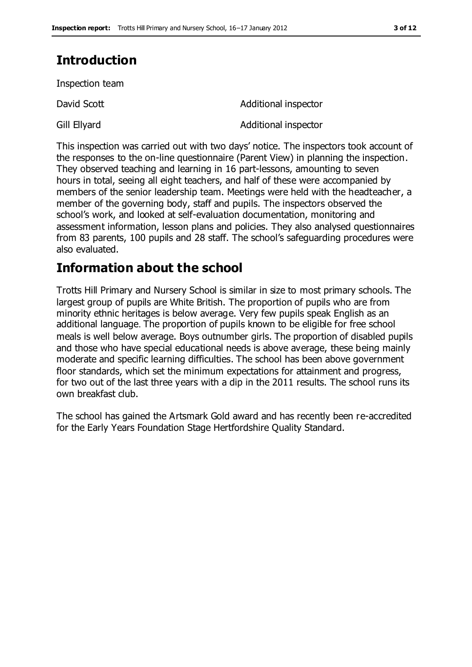# **Introduction**

Inspection team

David Scott **David Scott Additional inspector** 

Gill Ellyard **Additional inspector** 

This inspection was carried out with two days' notice. The inspectors took account of the responses to the on-line questionnaire (Parent View) in planning the inspection. They observed teaching and learning in 16 part-lessons, amounting to seven hours in total, seeing all eight teachers, and half of these were accompanied by members of the senior leadership team. Meetings were held with the headteacher, a member of the governing body, staff and pupils. The inspectors observed the school's work, and looked at self-evaluation documentation, monitoring and assessment information, lesson plans and policies. They also analysed questionnaires from 83 parents, 100 pupils and 28 staff. The school's safeguarding procedures were also evaluated.

# **Information about the school**

Trotts Hill Primary and Nursery School is similar in size to most primary schools. The largest group of pupils are White British. The proportion of pupils who are from minority ethnic heritages is below average. Very few pupils speak English as an additional language. The proportion of pupils known to be eligible for free school meals is well below average. Boys outnumber girls. The proportion of disabled pupils and those who have special educational needs is above average, these being mainly moderate and specific learning difficulties. The school has been above government floor standards, which set the minimum expectations for attainment and progress, for two out of the last three years with a dip in the 2011 results. The school runs its own breakfast club.

The school has gained the Artsmark Gold award and has recently been re-accredited for the Early Years Foundation Stage Hertfordshire Quality Standard.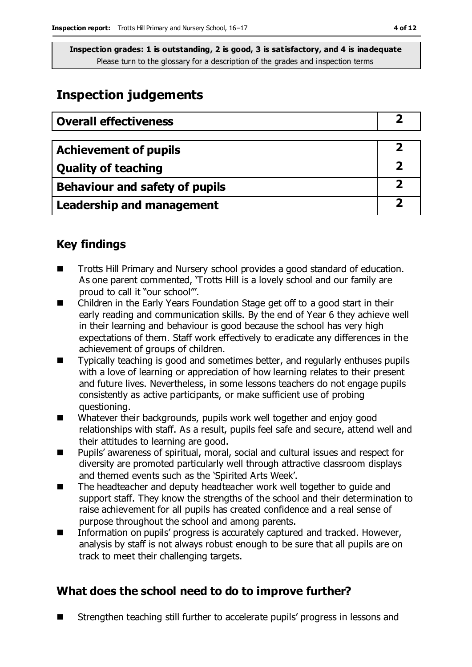# **Inspection judgements**

| <b>Overall effectiveness</b>   |  |
|--------------------------------|--|
|                                |  |
| <b>Achievement of pupils</b>   |  |
| <b>Quality of teaching</b>     |  |
| Behaviour and safety of pupils |  |
| Leadership and management      |  |

## **Key findings**

- Trotts Hill Primary and Nursery school provides a good standard of education. As one parent commented, 'Trotts Hill is a lovely school and our family are proud to call it "our school"'.
- Children in the Early Years Foundation Stage get off to a good start in their early reading and communication skills. By the end of Year 6 they achieve well in their learning and behaviour is good because the school has very high expectations of them. Staff work effectively to eradicate any differences in the achievement of groups of children.
- Typically teaching is good and sometimes better, and regularly enthuses pupils with a love of learning or appreciation of how learning relates to their present and future lives. Nevertheless, in some lessons teachers do not engage pupils consistently as active participants, or make sufficient use of probing questioning.
- **Num** Whatever their backgrounds, pupils work well together and enjoy good relationships with staff. As a result, pupils feel safe and secure, attend well and their attitudes to learning are good.
- Pupils' awareness of spiritual, moral, social and cultural issues and respect for diversity are promoted particularly well through attractive classroom displays and themed events such as the 'Spirited Arts Week'.
- The headteacher and deputy headteacher work well together to guide and support staff. They know the strengths of the school and their determination to raise achievement for all pupils has created confidence and a real sense of purpose throughout the school and among parents.
- Information on pupils' progress is accurately captured and tracked. However, analysis by staff is not always robust enough to be sure that all pupils are on track to meet their challenging targets.

## **What does the school need to do to improve further?**

Strengthen teaching still further to accelerate pupils' progress in lessons and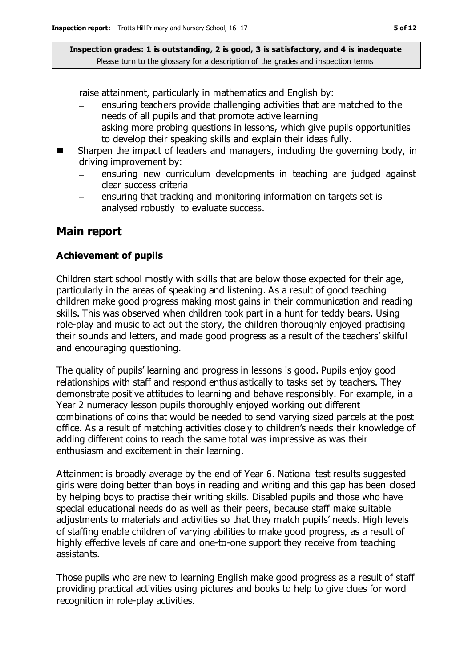raise attainment, particularly in mathematics and English by:

- ensuring teachers provide challenging activities that are matched to the needs of all pupils and that promote active learning
- asking more probing questions in lessons, which give pupils opportunities to develop their speaking skills and explain their ideas fully.
- Sharpen the impact of leaders and managers, including the governing body, in driving improvement by:
	- ensuring new curriculum developments in teaching are judged against clear success criteria
	- ensuring that tracking and monitoring information on targets set is  $\equiv$ analysed robustly to evaluate success.

### **Main report**

#### **Achievement of pupils**

Children start school mostly with skills that are below those expected for their age, particularly in the areas of speaking and listening. As a result of good teaching children make good progress making most gains in their communication and reading skills. This was observed when children took part in a hunt for teddy bears. Using role-play and music to act out the story, the children thoroughly enjoyed practising their sounds and letters, and made good progress as a result of the teachers' skilful and encouraging questioning.

The quality of pupils' learning and progress in lessons is good. Pupils enjoy good relationships with staff and respond enthusiastically to tasks set by teachers. They demonstrate positive attitudes to learning and behave responsibly. For example, in a Year 2 numeracy lesson pupils thoroughly enjoyed working out different combinations of coins that would be needed to send varying sized parcels at the post office. As a result of matching activities closely to children's needs their knowledge of adding different coins to reach the same total was impressive as was their enthusiasm and excitement in their learning.

Attainment is broadly average by the end of Year 6. National test results suggested girls were doing better than boys in reading and writing and this gap has been closed by helping boys to practise their writing skills. Disabled pupils and those who have special educational needs do as well as their peers, because staff make suitable adjustments to materials and activities so that they match pupils' needs. High levels of staffing enable children of varying abilities to make good progress, as a result of highly effective levels of care and one-to-one support they receive from teaching assistants.

Those pupils who are new to learning English make good progress as a result of staff providing practical activities using pictures and books to help to give clues for word recognition in role-play activities.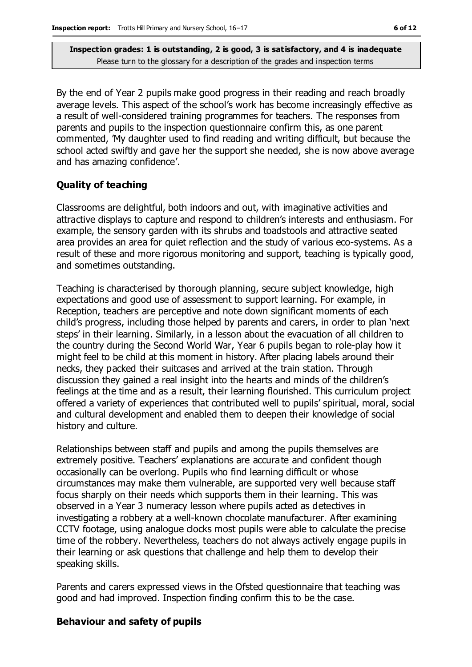By the end of Year 2 pupils make good progress in their reading and reach broadly average levels. This aspect of the school's work has become increasingly effective as a result of well-considered training programmes for teachers. The responses from parents and pupils to the inspection questionnaire confirm this, as one parent commented, 'My daughter used to find reading and writing difficult, but because the school acted swiftly and gave her the support she needed, she is now above average and has amazing confidence'.

#### **Quality of teaching**

Classrooms are delightful, both indoors and out, with imaginative activities and attractive displays to capture and respond to children's interests and enthusiasm. For example, the sensory garden with its shrubs and toadstools and attractive seated area provides an area for quiet reflection and the study of various eco-systems. As a result of these and more rigorous monitoring and support, teaching is typically good, and sometimes outstanding.

Teaching is characterised by thorough planning, secure subject knowledge, high expectations and good use of assessment to support learning. For example, in Reception, teachers are perceptive and note down significant moments of each child's progress, including those helped by parents and carers, in order to plan 'next steps' in their learning. Similarly, in a lesson about the evacuation of all children to the country during the Second World War, Year 6 pupils began to role-play how it might feel to be child at this moment in history. After placing labels around their necks, they packed their suitcases and arrived at the train station. Through discussion they gained a real insight into the hearts and minds of the children's feelings at the time and as a result, their learning flourished. This curriculum project offered a variety of experiences that contributed well to pupils' spiritual, moral, social and cultural development and enabled them to deepen their knowledge of social history and culture.

Relationships between staff and pupils and among the pupils themselves are extremely positive. Teachers' explanations are accurate and confident though occasionally can be overlong. Pupils who find learning difficult or whose circumstances may make them vulnerable, are supported very well because staff focus sharply on their needs which supports them in their learning. This was observed in a Year 3 numeracy lesson where pupils acted as detectives in investigating a robbery at a well-known chocolate manufacturer. After examining CCTV footage, using analogue clocks most pupils were able to calculate the precise time of the robbery. Nevertheless, teachers do not always actively engage pupils in their learning or ask questions that challenge and help them to develop their speaking skills.

Parents and carers expressed views in the Ofsted questionnaire that teaching was good and had improved. Inspection finding confirm this to be the case.

#### **Behaviour and safety of pupils**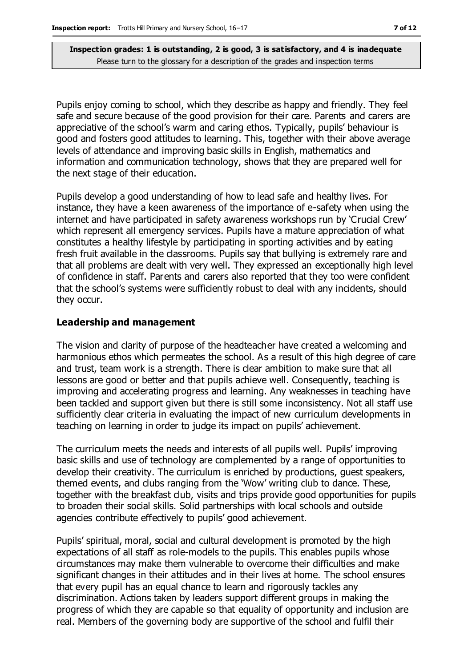Pupils enjoy coming to school, which they describe as happy and friendly. They feel safe and secure because of the good provision for their care. Parents and carers are appreciative of the school's warm and caring ethos. Typically, pupils' behaviour is good and fosters good attitudes to learning. This, together with their above average levels of attendance and improving basic skills in English, mathematics and information and communication technology, shows that they are prepared well for the next stage of their education.

Pupils develop a good understanding of how to lead safe and healthy lives. For instance, they have a keen awareness of the importance of e-safety when using the internet and have participated in safety awareness workshops run by 'Crucial Crew' which represent all emergency services. Pupils have a mature appreciation of what constitutes a healthy lifestyle by participating in sporting activities and by eating fresh fruit available in the classrooms. Pupils say that bullying is extremely rare and that all problems are dealt with very well. They expressed an exceptionally high level of confidence in staff. Parents and carers also reported that they too were confident that the school's systems were sufficiently robust to deal with any incidents, should they occur.

#### **Leadership and management**

The vision and clarity of purpose of the headteacher have created a welcoming and harmonious ethos which permeates the school. As a result of this high degree of care and trust, team work is a strength. There is clear ambition to make sure that all lessons are good or better and that pupils achieve well. Consequently, teaching is improving and accelerating progress and learning. Any weaknesses in teaching have been tackled and support given but there is still some inconsistency. Not all staff use sufficiently clear criteria in evaluating the impact of new curriculum developments in teaching on learning in order to judge its impact on pupils' achievement.

The curriculum meets the needs and interests of all pupils well. Pupils' improving basic skills and use of technology are complemented by a range of opportunities to develop their creativity. The curriculum is enriched by productions, guest speakers, themed events, and clubs ranging from the 'Wow' writing club to dance. These, together with the breakfast club, visits and trips provide good opportunities for pupils to broaden their social skills. Solid partnerships with local schools and outside agencies contribute effectively to pupils' good achievement.

Pupils' spiritual, moral, social and cultural development is promoted by the high expectations of all staff as role-models to the pupils. This enables pupils whose circumstances may make them vulnerable to overcome their difficulties and make significant changes in their attitudes and in their lives at home. The school ensures that every pupil has an equal chance to learn and rigorously tackles any discrimination. Actions taken by leaders support different groups in making the progress of which they are capable so that equality of opportunity and inclusion are real. Members of the governing body are supportive of the school and fulfil their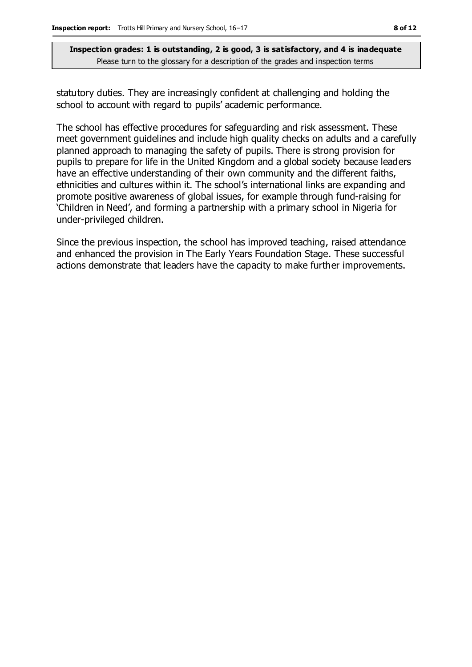statutory duties. They are increasingly confident at challenging and holding the school to account with regard to pupils' academic performance.

The school has effective procedures for safeguarding and risk assessment. These meet government guidelines and include high quality checks on adults and a carefully planned approach to managing the safety of pupils. There is strong provision for pupils to prepare for life in the United Kingdom and a global society because leaders have an effective understanding of their own community and the different faiths, ethnicities and cultures within it. The school's international links are expanding and promote positive awareness of global issues, for example through fund-raising for 'Children in Need', and forming a partnership with a primary school in Nigeria for under-privileged children.

Since the previous inspection, the school has improved teaching, raised attendance and enhanced the provision in The Early Years Foundation Stage. These successful actions demonstrate that leaders have the capacity to make further improvements.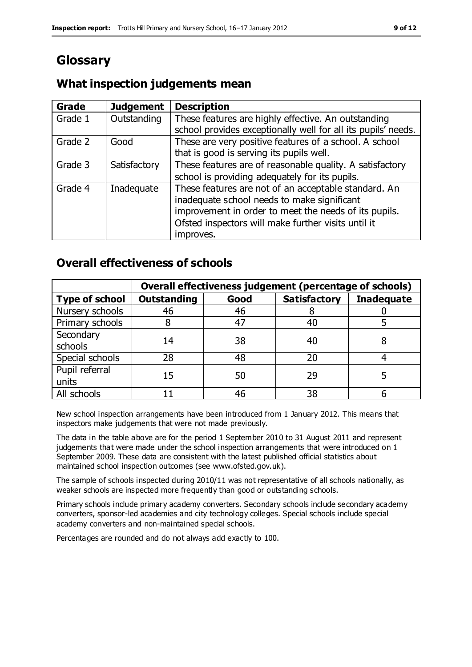# **Glossary**

## **What inspection judgements mean**

| Grade   | <b>Judgement</b> | <b>Description</b>                                            |
|---------|------------------|---------------------------------------------------------------|
| Grade 1 | Outstanding      | These features are highly effective. An outstanding           |
|         |                  | school provides exceptionally well for all its pupils' needs. |
| Grade 2 | Good             | These are very positive features of a school. A school        |
|         |                  | that is good is serving its pupils well.                      |
| Grade 3 | Satisfactory     | These features are of reasonable quality. A satisfactory      |
|         |                  | school is providing adequately for its pupils.                |
| Grade 4 | Inadequate       | These features are not of an acceptable standard. An          |
|         |                  | inadequate school needs to make significant                   |
|         |                  | improvement in order to meet the needs of its pupils.         |
|         |                  | Ofsted inspectors will make further visits until it           |
|         |                  | improves.                                                     |

## **Overall effectiveness of schools**

|                       | Overall effectiveness judgement (percentage of schools) |      |                     |                   |
|-----------------------|---------------------------------------------------------|------|---------------------|-------------------|
| <b>Type of school</b> | <b>Outstanding</b>                                      | Good | <b>Satisfactory</b> | <b>Inadequate</b> |
| Nursery schools       | 46                                                      | 46   |                     |                   |
| Primary schools       |                                                         | 47   | 40                  |                   |
| Secondary             | 14                                                      | 38   | 40                  |                   |
| schools               |                                                         |      |                     |                   |
| Special schools       | 28                                                      | 48   | 20                  |                   |
| Pupil referral        | 15                                                      | 50   | 29                  |                   |
| units                 |                                                         |      |                     |                   |
| All schools           |                                                         | 46   | 38                  |                   |

New school inspection arrangements have been introduced from 1 January 2012. This means that inspectors make judgements that were not made previously.

The data in the table above are for the period 1 September 2010 to 31 August 2011 and represent judgements that were made under the school inspection arrangements that were introduced on 1 September 2009. These data are consistent with the latest published official statistics about maintained school inspection outcomes (see www.ofsted.gov.uk).

The sample of schools inspected during 2010/11 was not representative of all schools nationally, as weaker schools are inspected more frequently than good or outstanding schools.

Primary schools include primary academy converters. Secondary schools include secondary academy converters, sponsor-led academies and city technology colleges. Special schools include special academy converters and non-maintained special schools.

Percentages are rounded and do not always add exactly to 100.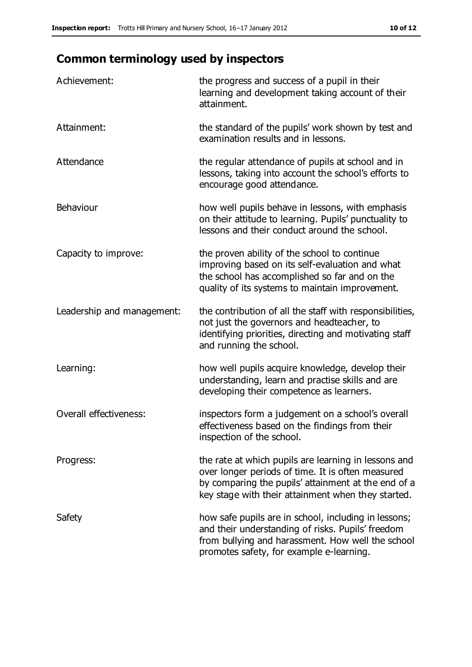# **Common terminology used by inspectors**

| Achievement:                  | the progress and success of a pupil in their<br>learning and development taking account of their<br>attainment.                                                                                                        |
|-------------------------------|------------------------------------------------------------------------------------------------------------------------------------------------------------------------------------------------------------------------|
| Attainment:                   | the standard of the pupils' work shown by test and<br>examination results and in lessons.                                                                                                                              |
| Attendance                    | the regular attendance of pupils at school and in<br>lessons, taking into account the school's efforts to<br>encourage good attendance.                                                                                |
| Behaviour                     | how well pupils behave in lessons, with emphasis<br>on their attitude to learning. Pupils' punctuality to<br>lessons and their conduct around the school.                                                              |
| Capacity to improve:          | the proven ability of the school to continue<br>improving based on its self-evaluation and what<br>the school has accomplished so far and on the<br>quality of its systems to maintain improvement.                    |
| Leadership and management:    | the contribution of all the staff with responsibilities,<br>not just the governors and headteacher, to<br>identifying priorities, directing and motivating staff<br>and running the school.                            |
| Learning:                     | how well pupils acquire knowledge, develop their<br>understanding, learn and practise skills and are<br>developing their competence as learners.                                                                       |
| <b>Overall effectiveness:</b> | inspectors form a judgement on a school's overall<br>effectiveness based on the findings from their<br>inspection of the school.                                                                                       |
| Progress:                     | the rate at which pupils are learning in lessons and<br>over longer periods of time. It is often measured<br>by comparing the pupils' attainment at the end of a<br>key stage with their attainment when they started. |
| Safety                        | how safe pupils are in school, including in lessons;<br>and their understanding of risks. Pupils' freedom<br>from bullying and harassment. How well the school<br>promotes safety, for example e-learning.             |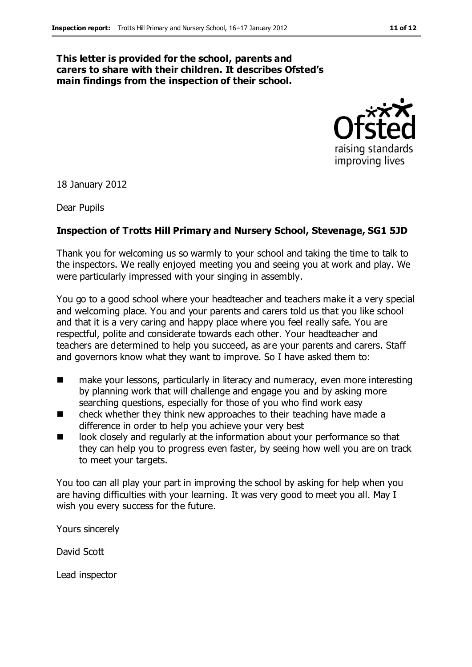#### **This letter is provided for the school, parents and carers to share with their children. It describes Ofsted's main findings from the inspection of their school.**



18 January 2012

Dear Pupils

#### **Inspection of Trotts Hill Primary and Nursery School, Stevenage, SG1 5JD**

Thank you for welcoming us so warmly to your school and taking the time to talk to the inspectors. We really enjoyed meeting you and seeing you at work and play. We were particularly impressed with your singing in assembly.

You go to a good school where your headteacher and teachers make it a very special and welcoming place. You and your parents and carers told us that you like school and that it is a very caring and happy place where you feel really safe. You are respectful, polite and considerate towards each other. Your headteacher and teachers are determined to help you succeed, as are your parents and carers. Staff and governors know what they want to improve. So I have asked them to:

- make your lessons, particularly in literacy and numeracy, even more interesting by planning work that will challenge and engage you and by asking more searching questions, especially for those of you who find work easy
- $\blacksquare$  check whether they think new approaches to their teaching have made a difference in order to help you achieve your very best
- look closely and regularly at the information about your performance so that they can help you to progress even faster, by seeing how well you are on track to meet your targets.

You too can all play your part in improving the school by asking for help when you are having difficulties with your learning. It was very good to meet you all. May I wish you every success for the future.

Yours sincerely

David Scott

Lead inspector